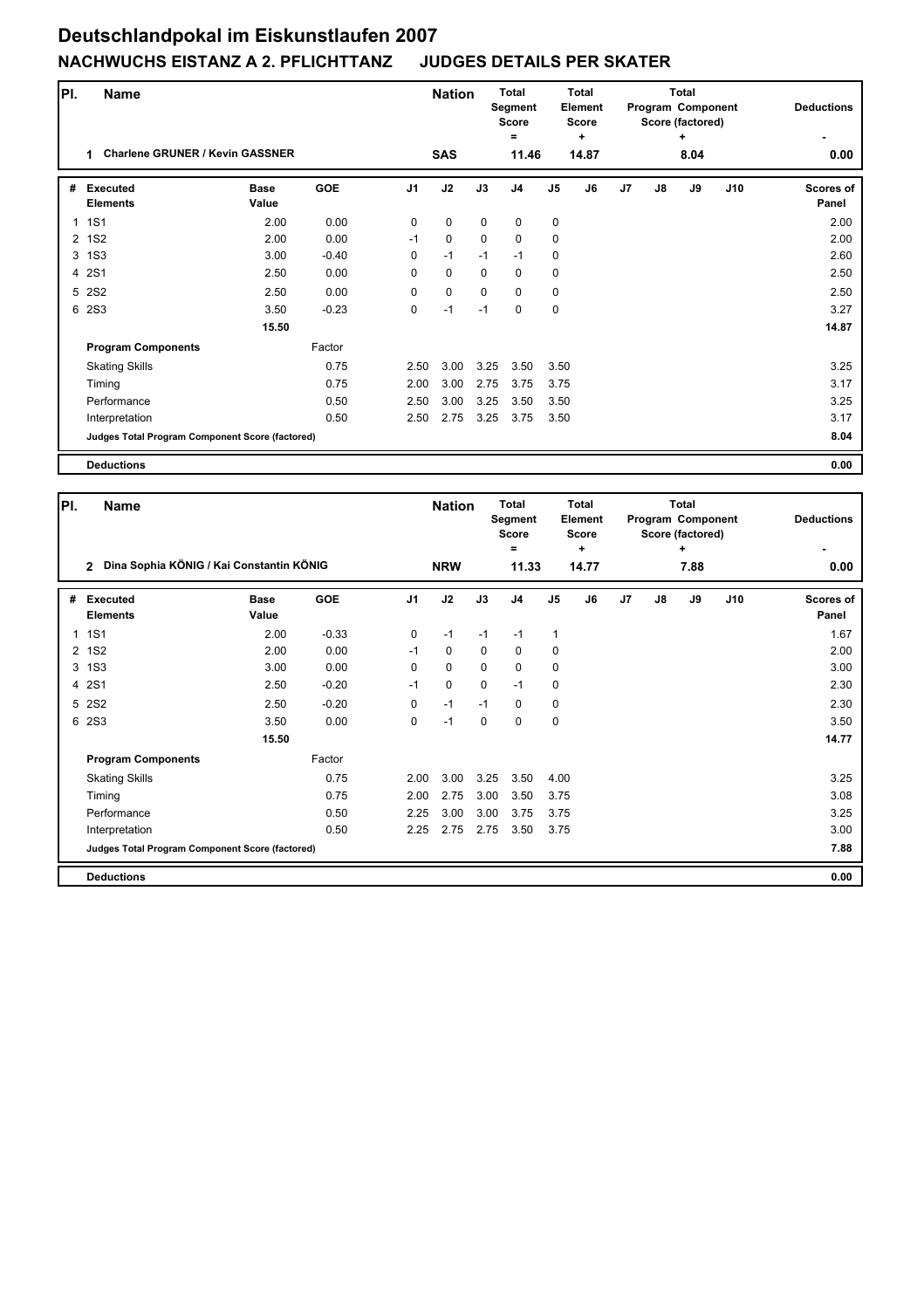## **Deutschlandpokal im Eiskunstlaufen 2007 NACHWUCHS EISTANZ A 2. PFLICHTTANZ JUDGES DETAILS PER SKATER**

| PI.            | <b>Name</b><br><b>Charlene GRUNER / Kevin GASSNER</b><br>1 |                      |            |                | <b>Total</b><br><b>Nation</b><br>Segment<br>Score<br>$\equiv$ |             |                | Total<br>Element<br><b>Score</b> |            |                |    | <b>Total</b><br>Program Component<br>Score (factored)<br>٠ | <b>Deductions</b> |                    |
|----------------|------------------------------------------------------------|----------------------|------------|----------------|---------------------------------------------------------------|-------------|----------------|----------------------------------|------------|----------------|----|------------------------------------------------------------|-------------------|--------------------|
|                |                                                            |                      |            |                | <b>SAS</b>                                                    |             | 11.46          |                                  | ÷<br>14.87 |                |    | 8.04                                                       |                   | 0.00               |
| #              | Executed<br><b>Elements</b>                                | <b>Base</b><br>Value | <b>GOE</b> | J <sub>1</sub> | J2                                                            | J3          | J <sub>4</sub> | J <sub>5</sub>                   | J6         | J <sub>7</sub> | J8 | J9                                                         | J10               | Scores of<br>Panel |
| $\mathbf{1}$   | <b>1S1</b>                                                 | 2.00                 | 0.00       | 0              | $\mathbf 0$                                                   | $\mathbf 0$ | $\mathbf 0$    | $\mathbf 0$                      |            |                |    |                                                            |                   | 2.00               |
| $\overline{2}$ | <b>1S2</b>                                                 | 2.00                 | 0.00       | $-1$           | $\Omega$                                                      | $\Omega$    | $\mathbf 0$    | 0                                |            |                |    |                                                            |                   | 2.00               |
| 3              | <b>1S3</b>                                                 | 3.00                 | $-0.40$    | 0              | $-1$                                                          | $-1$        | $-1$           | 0                                |            |                |    |                                                            |                   | 2.60               |
| 4              | <b>2S1</b>                                                 | 2.50                 | 0.00       | 0              | $\mathbf 0$                                                   | $\mathbf 0$ | $\mathbf 0$    | 0                                |            |                |    |                                                            |                   | 2.50               |
| 5              | <b>2S2</b>                                                 | 2.50                 | 0.00       | 0              | $\mathbf 0$                                                   | $\Omega$    | 0              | $\mathbf 0$                      |            |                |    |                                                            |                   | 2.50               |
| 6              | <b>2S3</b>                                                 | 3.50                 | $-0.23$    | 0              | $-1$                                                          | $-1$        | 0              | 0                                |            |                |    |                                                            |                   | 3.27               |
|                |                                                            | 15.50                |            |                |                                                               |             |                |                                  |            |                |    |                                                            |                   | 14.87              |
|                | <b>Program Components</b>                                  |                      | Factor     |                |                                                               |             |                |                                  |            |                |    |                                                            |                   |                    |
|                | <b>Skating Skills</b>                                      |                      | 0.75       | 2.50           | 3.00                                                          | 3.25        | 3.50           | 3.50                             |            |                |    |                                                            |                   | 3.25               |
|                | Timing                                                     |                      | 0.75       | 2.00           | 3.00                                                          | 2.75        | 3.75           | 3.75                             |            |                |    |                                                            |                   | 3.17               |
|                | Performance                                                |                      | 0.50       | 2.50           | 3.00                                                          | 3.25        | 3.50           | 3.50                             |            |                |    |                                                            |                   | 3.25               |
|                | Interpretation                                             |                      | 0.50       | 2.50           | 2.75                                                          | 3.25        | 3.75           | 3.50                             |            |                |    |                                                            |                   | 3.17               |
|                | Judges Total Program Component Score (factored)            |                      |            |                |                                                               |             |                |                                  |            |                |    |                                                            |                   | 8.04               |
|                | <b>Deductions</b>                                          |                      |            |                |                                                               |             |                |                                  |            |                |    |                                                            |                   | 0.00               |

| PI. | <b>Name</b>                                                |                      | <b>Nation</b> | <b>Total</b><br>Segment<br><b>Score</b><br>Ξ |             | Total<br>Element<br><b>Score</b><br>٠ |                |              |       | Total<br>Program Component<br>Score (factored)<br>÷ |    | <b>Deductions</b> |     |                           |
|-----|------------------------------------------------------------|----------------------|---------------|----------------------------------------------|-------------|---------------------------------------|----------------|--------------|-------|-----------------------------------------------------|----|-------------------|-----|---------------------------|
|     | Dina Sophia KÖNIG / Kai Constantin KÖNIG<br>$\overline{2}$ |                      |               |                                              | <b>NRW</b>  |                                       | 11.33          |              | 14.77 |                                                     |    | 7.88              |     | 0.00                      |
| #   | <b>Executed</b><br><b>Elements</b>                         | <b>Base</b><br>Value | <b>GOE</b>    | J <sub>1</sub>                               | J2          | J3                                    | J <sub>4</sub> | J5           | J6    | J <sub>7</sub>                                      | J8 | J9                | J10 | <b>Scores of</b><br>Panel |
| 1   | <b>1S1</b>                                                 | 2.00                 | $-0.33$       | 0                                            | $-1$        | $-1$                                  | $-1$           | $\mathbf{1}$ |       |                                                     |    |                   |     | 1.67                      |
| 2   | <b>1S2</b>                                                 | 2.00                 | 0.00          | $-1$                                         | $\mathbf 0$ | $\Omega$                              | $\mathbf 0$    | $\mathbf 0$  |       |                                                     |    |                   |     | 2.00                      |
| 3   | <b>1S3</b>                                                 | 3.00                 | 0.00          | 0                                            | $\mathbf 0$ | $\mathbf 0$                           | 0              | $\mathbf 0$  |       |                                                     |    |                   |     | 3.00                      |
|     | 4 2S1                                                      | 2.50                 | $-0.20$       | $-1$                                         | 0           | $\mathbf 0$                           | $-1$           | 0            |       |                                                     |    |                   |     | 2.30                      |
| 5   | <b>2S2</b>                                                 | 2.50                 | $-0.20$       | 0                                            | $-1$        | $-1$                                  | $\mathbf 0$    | $\mathbf 0$  |       |                                                     |    |                   |     | 2.30                      |
| 6   | <b>2S3</b>                                                 | 3.50                 | 0.00          | 0                                            | $-1$        | $\mathbf 0$                           | 0              | $\mathbf 0$  |       |                                                     |    |                   |     | 3.50                      |
|     |                                                            | 15.50                |               |                                              |             |                                       |                |              |       |                                                     |    |                   |     | 14.77                     |
|     | <b>Program Components</b>                                  |                      | Factor        |                                              |             |                                       |                |              |       |                                                     |    |                   |     |                           |
|     | <b>Skating Skills</b>                                      |                      | 0.75          | 2.00                                         | 3.00        | 3.25                                  | 3.50           | 4.00         |       |                                                     |    |                   |     | 3.25                      |
|     | Timing                                                     |                      | 0.75          | 2.00                                         | 2.75        | 3.00                                  | 3.50           | 3.75         |       |                                                     |    |                   |     | 3.08                      |
|     | Performance                                                |                      | 0.50          | 2.25                                         | 3.00        | 3.00                                  | 3.75           | 3.75         |       |                                                     |    |                   |     | 3.25                      |
|     | Interpretation                                             |                      | 0.50          | 2.25                                         | 2.75        | 2.75                                  | 3.50           | 3.75         |       |                                                     |    |                   |     | 3.00                      |
|     | Judges Total Program Component Score (factored)            |                      |               |                                              |             |                                       |                |              |       |                                                     |    |                   |     | 7.88                      |
|     | <b>Deductions</b>                                          |                      |               |                                              |             |                                       |                |              |       |                                                     |    |                   |     | 0.00                      |